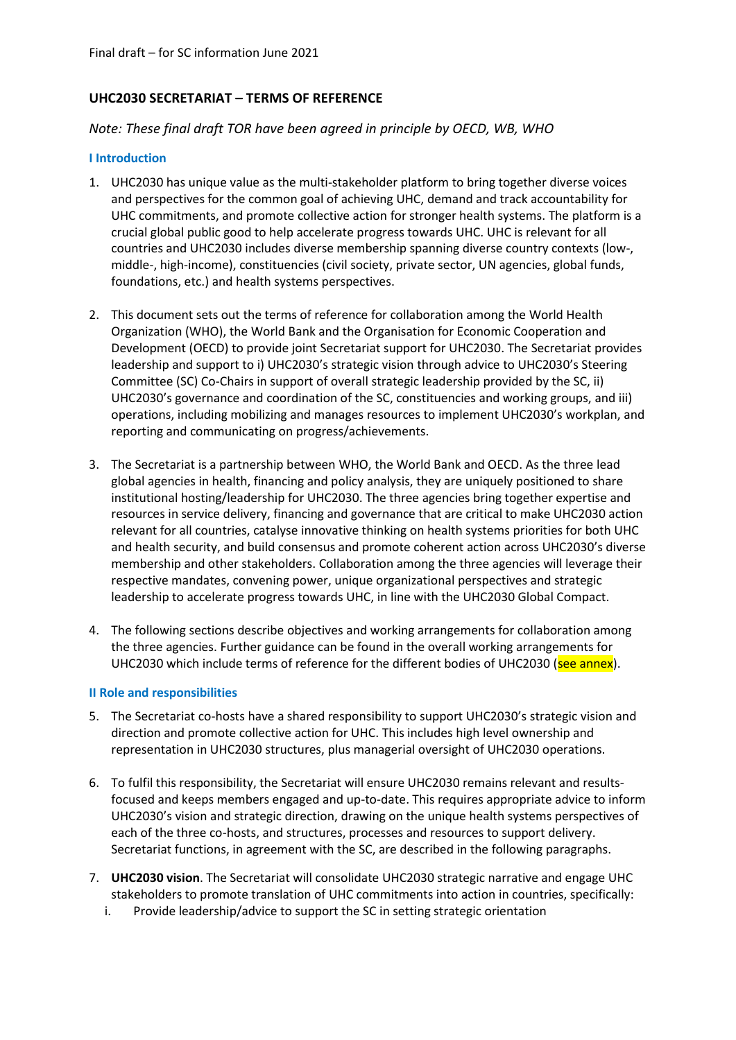# **UHC2030 SECRETARIAT – TERMS OF REFERENCE**

### *Note: These final draft TOR have been agreed in principle by OECD, WB, WHO*

#### **I Introduction**

- 1. UHC2030 has unique value as the multi-stakeholder platform to bring together diverse voices and perspectives for the common goal of achieving UHC, demand and track accountability for UHC commitments, and promote collective action for stronger health systems. The platform is a crucial global public good to help accelerate progress towards UHC. UHC is relevant for all countries and UHC2030 includes diverse membership spanning diverse country contexts (low-, middle-, high-income), constituencies (civil society, private sector, UN agencies, global funds, foundations, etc.) and health systems perspectives.
- 2. This document sets out the terms of reference for collaboration among the World Health Organization (WHO), the World Bank and the Organisation for Economic Cooperation and Development (OECD) to provide joint Secretariat support for UHC2030. The Secretariat provides leadership and support to i) UHC2030's strategic vision through advice to UHC2030's Steering Committee (SC) Co-Chairs in support of overall strategic leadership provided by the SC, ii) UHC2030's governance and coordination of the SC, constituencies and working groups, and iii) operations, including mobilizing and manages resources to implement UHC2030's workplan, and reporting and communicating on progress/achievements.
- 3. The Secretariat is a partnership between WHO, the World Bank and OECD. As the three lead global agencies in health, financing and policy analysis, they are uniquely positioned to share institutional hosting/leadership for UHC2030. The three agencies bring together expertise and resources in service delivery, financing and governance that are critical to make UHC2030 action relevant for all countries, catalyse innovative thinking on health systems priorities for both UHC and health security, and build consensus and promote coherent action across UHC2030's diverse membership and other stakeholders. Collaboration among the three agencies will leverage their respective mandates, convening power, unique organizational perspectives and strategic leadership to accelerate progress towards UHC, in line with the UHC2030 Global Compact.
- 4. The following sections describe objectives and working arrangements for collaboration among the three agencies. Further guidance can be found in the overall working arrangements for UHC2030 which include terms of reference for the different bodies of UHC2030 (see annex).

#### **II Role and responsibilities**

- 5. The Secretariat co-hosts have a shared responsibility to support UHC2030's strategic vision and direction and promote collective action for UHC. This includes high level ownership and representation in UHC2030 structures, plus managerial oversight of UHC2030 operations.
- 6. To fulfil this responsibility, the Secretariat will ensure UHC2030 remains relevant and resultsfocused and keeps members engaged and up-to-date. This requires appropriate advice to inform UHC2030's vision and strategic direction, drawing on the unique health systems perspectives of each of the three co-hosts, and structures, processes and resources to support delivery. Secretariat functions, in agreement with the SC, are described in the following paragraphs.
- 7. **UHC2030 vision**. The Secretariat will consolidate UHC2030 strategic narrative and engage UHC stakeholders to promote translation of UHC commitments into action in countries, specifically:
	- i. Provide leadership/advice to support the SC in setting strategic orientation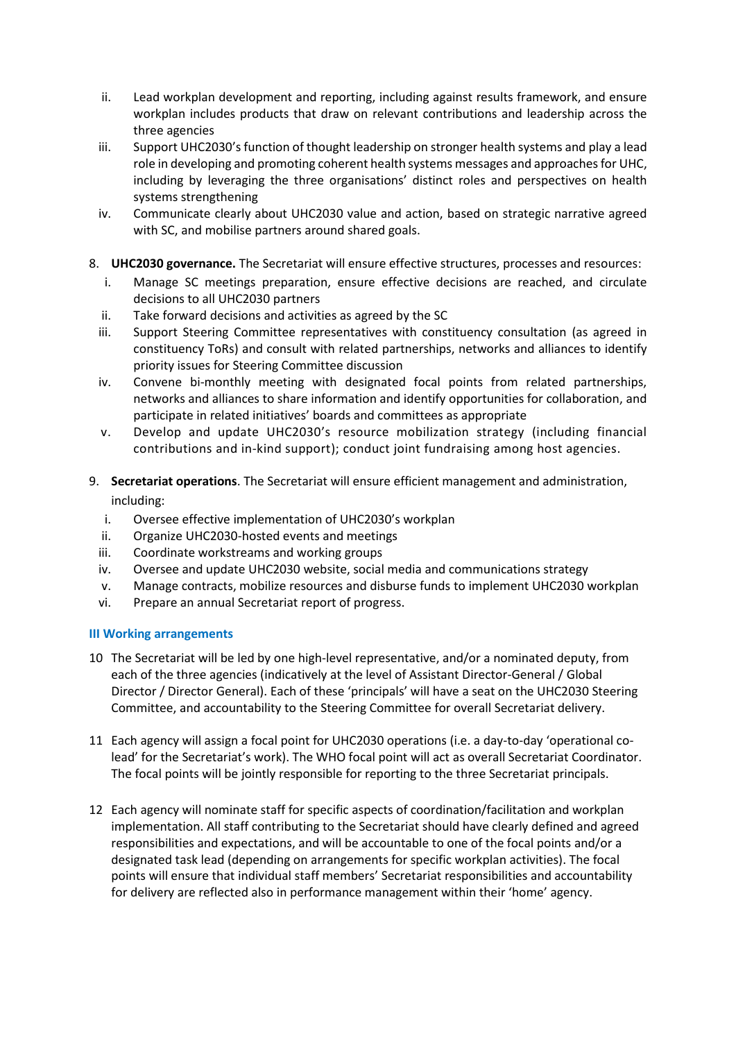- ii. Lead workplan development and reporting, including against results framework, and ensure workplan includes products that draw on relevant contributions and leadership across the three agencies
- iii. Support UHC2030's function of thought leadership on stronger health systems and play a lead role in developing and promoting coherent health systems messages and approaches for UHC, including by leveraging the three organisations' distinct roles and perspectives on health systems strengthening
- iv. Communicate clearly about UHC2030 value and action, based on strategic narrative agreed with SC, and mobilise partners around shared goals.
- 8. **UHC2030 governance.** The Secretariat will ensure effective structures, processes and resources:
	- i. Manage SC meetings preparation, ensure effective decisions are reached, and circulate decisions to all UHC2030 partners
	- ii. Take forward decisions and activities as agreed by the SC
	- iii. Support Steering Committee representatives with constituency consultation (as agreed in constituency ToRs) and consult with related partnerships, networks and alliances to identify priority issues for Steering Committee discussion
	- iv. Convene bi-monthly meeting with designated focal points from related partnerships, networks and alliances to share information and identify opportunities for collaboration, and participate in related initiatives' boards and committees as appropriate
	- v. Develop and update UHC2030's resource mobilization strategy (including financial contributions and in-kind support); conduct joint fundraising among host agencies.
- 9. **Secretariat operations**. The Secretariat will ensure efficient management and administration, including:
	- i. Oversee effective implementation of UHC2030's workplan
	- ii. Organize UHC2030-hosted events and meetings
	- iii. Coordinate workstreams and working groups
	- iv. Oversee and update UHC2030 website, social media and communications strategy
	- v. Manage contracts, mobilize resources and disburse funds to implement UHC2030 workplan
	- vi. Prepare an annual Secretariat report of progress.

## **III Working arrangements**

- 10 The Secretariat will be led by one high-level representative, and/or a nominated deputy, from each of the three agencies (indicatively at the level of Assistant Director-General / Global Director / Director General). Each of these 'principals' will have a seat on the UHC2030 Steering Committee, and accountability to the Steering Committee for overall Secretariat delivery.
- 11 Each agency will assign a focal point for UHC2030 operations (i.e. a day-to-day 'operational colead' for the Secretariat's work). The WHO focal point will act as overall Secretariat Coordinator. The focal points will be jointly responsible for reporting to the three Secretariat principals.
- 12 Each agency will nominate staff for specific aspects of coordination/facilitation and workplan implementation. All staff contributing to the Secretariat should have clearly defined and agreed responsibilities and expectations, and will be accountable to one of the focal points and/or a designated task lead (depending on arrangements for specific workplan activities). The focal points will ensure that individual staff members' Secretariat responsibilities and accountability for delivery are reflected also in performance management within their 'home' agency.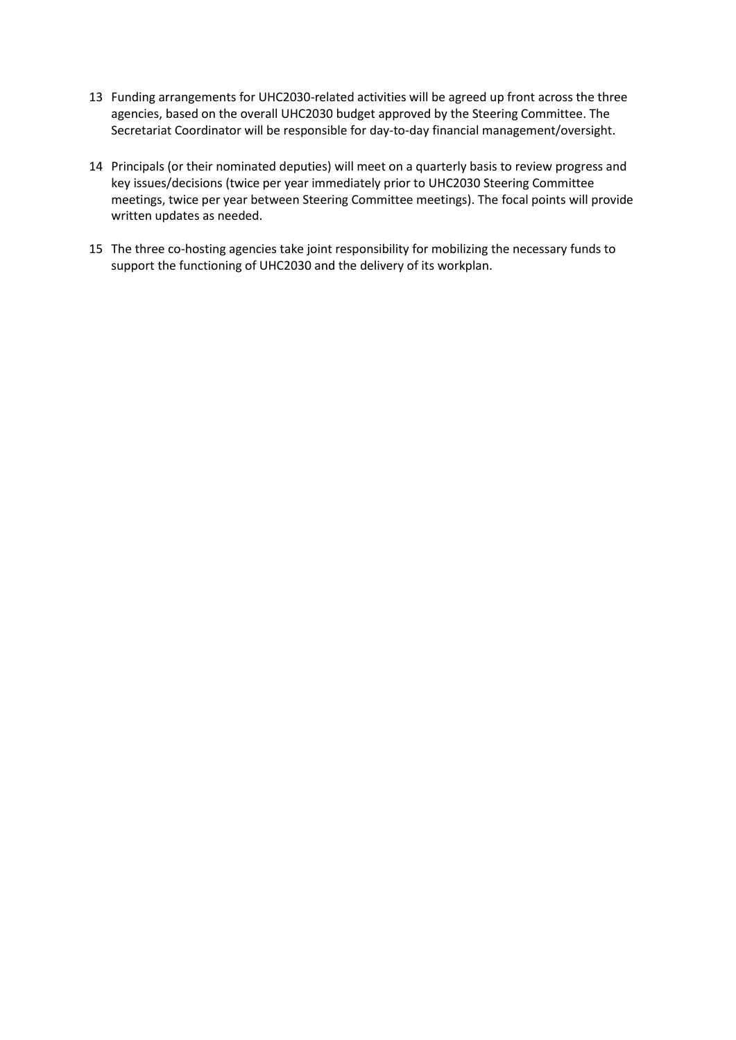- 13 Funding arrangements for UHC2030-related activities will be agreed up front across the three agencies, based on the overall UHC2030 budget approved by the Steering Committee. The Secretariat Coordinator will be responsible for day-to-day financial management/oversight.
- 14 Principals (or their nominated deputies) will meet on a quarterly basis to review progress and key issues/decisions (twice per year immediately prior to UHC2030 Steering Committee meetings, twice per year between Steering Committee meetings). The focal points will provide written updates as needed.
- 15 The three co-hosting agencies take joint responsibility for mobilizing the necessary funds to support the functioning of UHC2030 and the delivery of its workplan.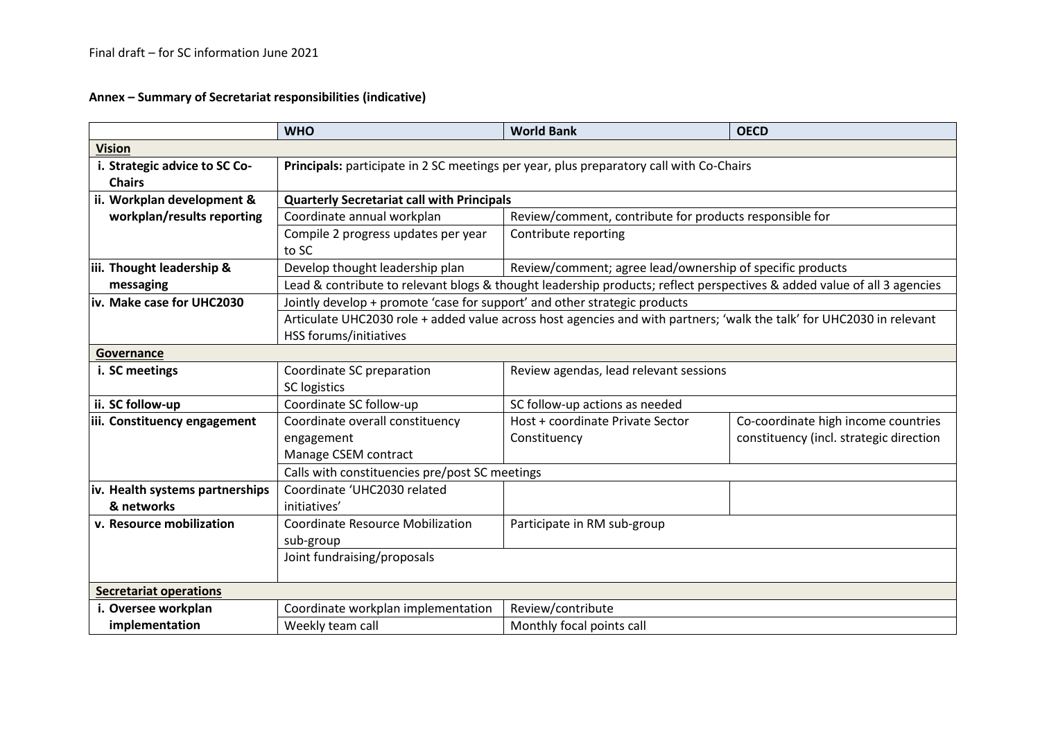**Annex – Summary of Secretariat responsibilities (indicative)**

|                                 | <b>WHO</b>                                                                                                                                      | <b>World Bank</b>                                         | <b>OECD</b>                             |  |  |  |  |
|---------------------------------|-------------------------------------------------------------------------------------------------------------------------------------------------|-----------------------------------------------------------|-----------------------------------------|--|--|--|--|
| <b>Vision</b>                   |                                                                                                                                                 |                                                           |                                         |  |  |  |  |
| i. Strategic advice to SC Co-   | Principals: participate in 2 SC meetings per year, plus preparatory call with Co-Chairs                                                         |                                                           |                                         |  |  |  |  |
| <b>Chairs</b>                   |                                                                                                                                                 |                                                           |                                         |  |  |  |  |
| ii. Workplan development &      | <b>Quarterly Secretariat call with Principals</b>                                                                                               |                                                           |                                         |  |  |  |  |
| workplan/results reporting      | Coordinate annual workplan                                                                                                                      | Review/comment, contribute for products responsible for   |                                         |  |  |  |  |
|                                 | Compile 2 progress updates per year<br>to SC                                                                                                    | Contribute reporting                                      |                                         |  |  |  |  |
| iii. Thought leadership &       | Develop thought leadership plan                                                                                                                 | Review/comment; agree lead/ownership of specific products |                                         |  |  |  |  |
| messaging                       | Lead & contribute to relevant blogs & thought leadership products; reflect perspectives & added value of all 3 agencies                         |                                                           |                                         |  |  |  |  |
| iv. Make case for UHC2030       | Jointly develop + promote 'case for support' and other strategic products                                                                       |                                                           |                                         |  |  |  |  |
|                                 | Articulate UHC2030 role + added value across host agencies and with partners; 'walk the talk' for UHC2030 in relevant<br>HSS forums/initiatives |                                                           |                                         |  |  |  |  |
| Governance                      |                                                                                                                                                 |                                                           |                                         |  |  |  |  |
| i. SC meetings                  | Coordinate SC preparation                                                                                                                       | Review agendas, lead relevant sessions                    |                                         |  |  |  |  |
|                                 | <b>SC logistics</b>                                                                                                                             |                                                           |                                         |  |  |  |  |
| ii. SC follow-up                | Coordinate SC follow-up                                                                                                                         | SC follow-up actions as needed                            |                                         |  |  |  |  |
| iii. Constituency engagement    | Coordinate overall constituency                                                                                                                 | Host + coordinate Private Sector                          | Co-coordinate high income countries     |  |  |  |  |
|                                 | engagement                                                                                                                                      | Constituency                                              | constituency (incl. strategic direction |  |  |  |  |
|                                 | Manage CSEM contract                                                                                                                            |                                                           |                                         |  |  |  |  |
|                                 | Calls with constituencies pre/post SC meetings                                                                                                  |                                                           |                                         |  |  |  |  |
| iv. Health systems partnerships | Coordinate 'UHC2030 related                                                                                                                     |                                                           |                                         |  |  |  |  |
| & networks                      | initiatives'                                                                                                                                    |                                                           |                                         |  |  |  |  |
| v. Resource mobilization        | <b>Coordinate Resource Mobilization</b>                                                                                                         | Participate in RM sub-group                               |                                         |  |  |  |  |
|                                 | sub-group                                                                                                                                       |                                                           |                                         |  |  |  |  |
|                                 | Joint fundraising/proposals                                                                                                                     |                                                           |                                         |  |  |  |  |
| <b>Secretariat operations</b>   |                                                                                                                                                 |                                                           |                                         |  |  |  |  |
| i. Oversee workplan             | Coordinate workplan implementation                                                                                                              | Review/contribute                                         |                                         |  |  |  |  |
| implementation                  | Weekly team call                                                                                                                                | Monthly focal points call                                 |                                         |  |  |  |  |